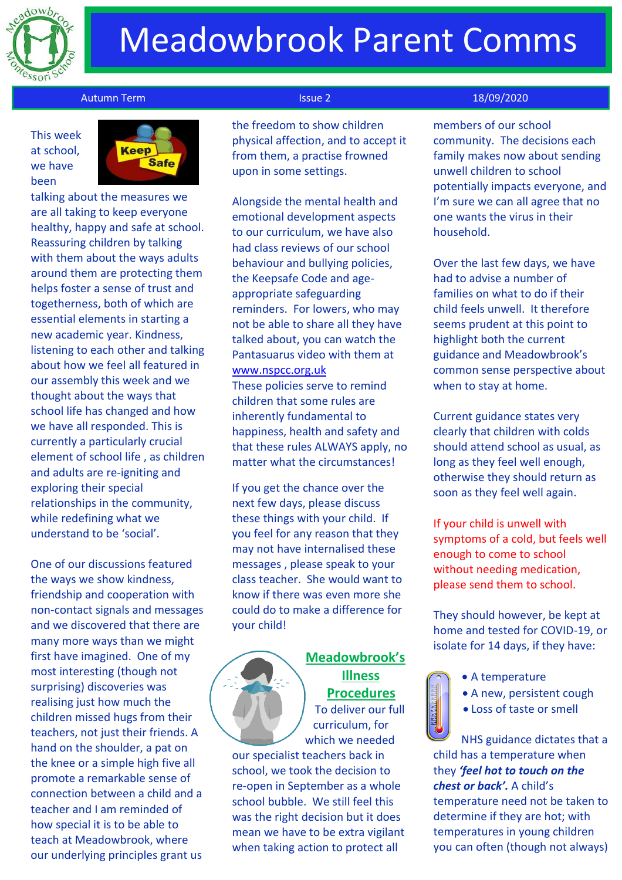

# Meadowbrook Parent Comms

#### Autumn Term Issue 2 18/09/2020

This week at school, we have been



talking about the measures we are all taking to keep everyone healthy, happy and safe at school. Reassuring children by talking with them about the ways adults around them are protecting them helps foster a sense of trust and togetherness, both of which are essential elements in starting a new academic year. Kindness, listening to each other and talking about how we feel all featured in our assembly this week and we thought about the ways that school life has changed and how we have all responded. This is currently a particularly crucial element of school life , as children and adults are re-igniting and exploring their special relationships in the community, while redefining what we understand to be 'social'.

One of our discussions featured the ways we show kindness, friendship and cooperation with non-contact signals and messages and we discovered that there are many more ways than we might first have imagined. One of my most interesting (though not surprising) discoveries was realising just how much the children missed hugs from their teachers, not just their friends. A hand on the shoulder, a pat on the knee or a simple high five all promote a remarkable sense of connection between a child and a teacher and I am reminded of how special it is to be able to teach at Meadowbrook, where our underlying principles grant us

 the freedom to show children physical affection, and to accept it from them, a practise frowned upon in some settings.

Alongside the mental health and emotional development aspects to our curriculum, we have also had class reviews of our school behaviour and bullying policies, the Keepsafe Code and ageappropriate safeguarding reminders. For lowers, who may not be able to share all they have talked about, you can watch the Pantasuarus video with them at [www.nspcc.org.uk](http://www.nspcc.org.uk/)

These policies serve to remind children that some rules are inherently fundamental to happiness, health and safety and that these rules ALWAYS apply, no matter what the circumstances!

If you get the chance over the next few days, please discuss these things with your child. If you feel for any reason that they may not have internalised these messages , please speak to your class teacher. She would want to know if there was even more she could do to make a difference for your child!



## **Meadowbrook's Illness Procedures**

To deliver our full curriculum, for which we needed

our specialist teachers back in school, we took the decision to re-open in September as a whole school bubble. We still feel this was the right decision but it does mean we have to be extra vigilant when taking action to protect all

members of our school community. The decisions each family makes now about sending unwell children to school potentially impacts everyone, and I'm sure we can all agree that no one wants the virus in their household.

Over the last few days, we have had to advise a number of families on what to do if their child feels unwell. It therefore seems prudent at this point to highlight both the current guidance and Meadowbrook's common sense perspective about when to stay at home.

Current guidance states very clearly that children with colds should attend school as usual, as long as they feel well enough, otherwise they should return as soon as they feel well again.

If your child is unwell with symptoms of a cold, but feels well enough to come to school without needing medication, please send them to school.

They should however, be kept at home and tested for COVID-19, or isolate for 14 days, if they have:

- 
- A temperature
- A new, persistent cough
- Loss of taste or smell

NHS guidance dictates that a child has a temperature when they *'feel hot to touch on the chest or back'.* A child's temperature need not be taken to determine if they are hot; with temperatures in young children you can often (though not always)